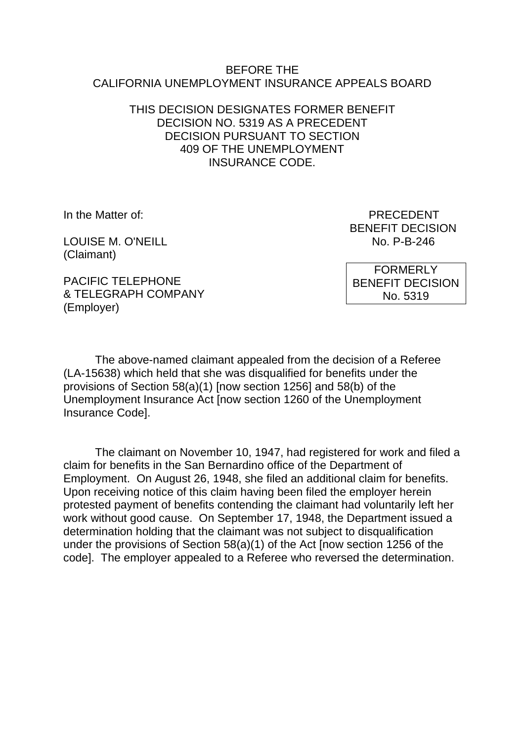#### BEFORE THE CALIFORNIA UNEMPLOYMENT INSURANCE APPEALS BOARD

### THIS DECISION DESIGNATES FORMER BENEFIT DECISION NO. 5319 AS A PRECEDENT DECISION PURSUANT TO SECTION 409 OF THE UNEMPLOYMENT INSURANCE CODE.

LOUISE M. O'NEILL **No. P-B-246** (Claimant)

In the Matter of: PRECEDENT BENEFIT DECISION

PACIFIC TELEPHONE & TELEGRAPH COMPANY (Employer)

FORMERLY BENEFIT DECISION No. 5319

The above-named claimant appealed from the decision of a Referee (LA-15638) which held that she was disqualified for benefits under the provisions of Section 58(a)(1) [now section 1256] and 58(b) of the Unemployment Insurance Act [now section 1260 of the Unemployment Insurance Code].

The claimant on November 10, 1947, had registered for work and filed a claim for benefits in the San Bernardino office of the Department of Employment. On August 26, 1948, she filed an additional claim for benefits. Upon receiving notice of this claim having been filed the employer herein protested payment of benefits contending the claimant had voluntarily left her work without good cause. On September 17, 1948, the Department issued a determination holding that the claimant was not subject to disqualification under the provisions of Section 58(a)(1) of the Act [now section 1256 of the code]. The employer appealed to a Referee who reversed the determination.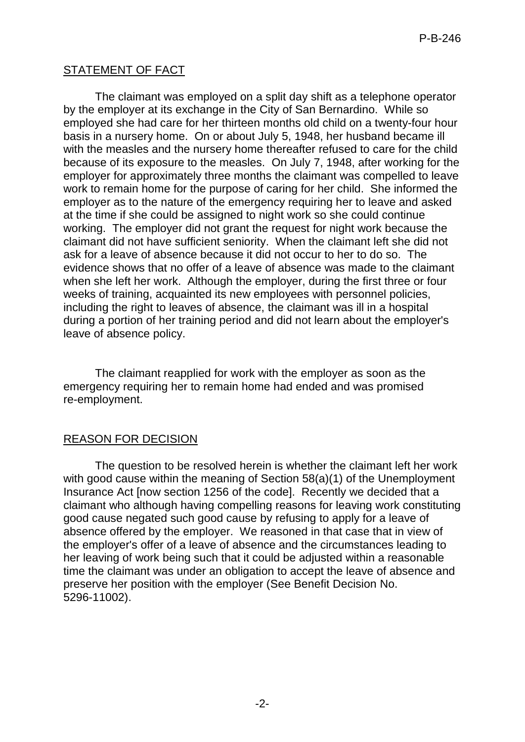## STATEMENT OF FACT

The claimant was employed on a split day shift as a telephone operator by the employer at its exchange in the City of San Bernardino. While so employed she had care for her thirteen months old child on a twenty-four hour basis in a nursery home. On or about July 5, 1948, her husband became ill with the measles and the nursery home thereafter refused to care for the child because of its exposure to the measles. On July 7, 1948, after working for the employer for approximately three months the claimant was compelled to leave work to remain home for the purpose of caring for her child. She informed the employer as to the nature of the emergency requiring her to leave and asked at the time if she could be assigned to night work so she could continue working. The employer did not grant the request for night work because the claimant did not have sufficient seniority. When the claimant left she did not ask for a leave of absence because it did not occur to her to do so. The evidence shows that no offer of a leave of absence was made to the claimant when she left her work. Although the employer, during the first three or four weeks of training, acquainted its new employees with personnel policies, including the right to leaves of absence, the claimant was ill in a hospital during a portion of her training period and did not learn about the employer's leave of absence policy.

The claimant reapplied for work with the employer as soon as the emergency requiring her to remain home had ended and was promised re-employment.

#### REASON FOR DECISION

The question to be resolved herein is whether the claimant left her work with good cause within the meaning of Section 58(a)(1) of the Unemployment Insurance Act [now section 1256 of the code]. Recently we decided that a claimant who although having compelling reasons for leaving work constituting good cause negated such good cause by refusing to apply for a leave of absence offered by the employer. We reasoned in that case that in view of the employer's offer of a leave of absence and the circumstances leading to her leaving of work being such that it could be adjusted within a reasonable time the claimant was under an obligation to accept the leave of absence and preserve her position with the employer (See Benefit Decision No. 5296-11002).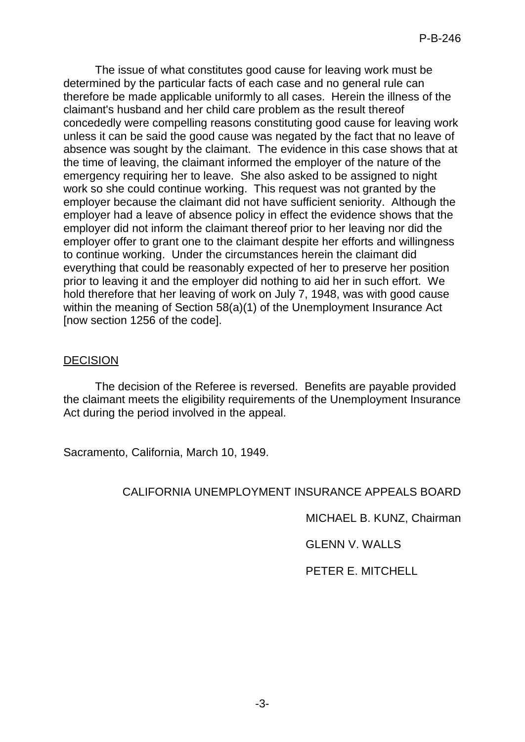The issue of what constitutes good cause for leaving work must be determined by the particular facts of each case and no general rule can therefore be made applicable uniformly to all cases. Herein the illness of the claimant's husband and her child care problem as the result thereof concededly were compelling reasons constituting good cause for leaving work unless it can be said the good cause was negated by the fact that no leave of absence was sought by the claimant. The evidence in this case shows that at the time of leaving, the claimant informed the employer of the nature of the emergency requiring her to leave. She also asked to be assigned to night work so she could continue working. This request was not granted by the employer because the claimant did not have sufficient seniority. Although the employer had a leave of absence policy in effect the evidence shows that the employer did not inform the claimant thereof prior to her leaving nor did the employer offer to grant one to the claimant despite her efforts and willingness to continue working. Under the circumstances herein the claimant did everything that could be reasonably expected of her to preserve her position prior to leaving it and the employer did nothing to aid her in such effort. We hold therefore that her leaving of work on July 7, 1948, was with good cause within the meaning of Section 58(a)(1) of the Unemployment Insurance Act [now section 1256 of the code].

#### DECISION

The decision of the Referee is reversed. Benefits are payable provided the claimant meets the eligibility requirements of the Unemployment Insurance Act during the period involved in the appeal.

Sacramento, California, March 10, 1949.

# CALIFORNIA UNEMPLOYMENT INSURANCE APPEALS BOARD

MICHAEL B. KUNZ, Chairman

GLENN V. WALLS

PETER E. MITCHELL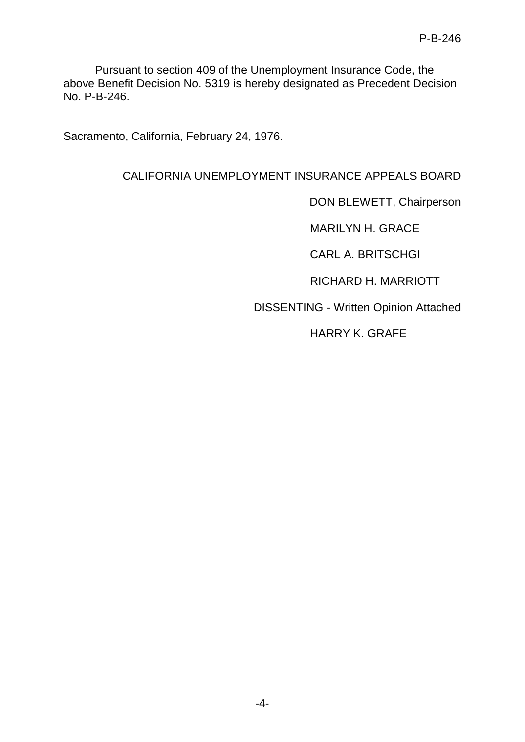Pursuant to section 409 of the Unemployment Insurance Code, the above Benefit Decision No. 5319 is hereby designated as Precedent Decision No. P-B-246.

Sacramento, California, February 24, 1976.

## CALIFORNIA UNEMPLOYMENT INSURANCE APPEALS BOARD

DON BLEWETT, Chairperson

MARILYN H. GRACE

CARL A. BRITSCHGI

RICHARD H. MARRIOTT

DISSENTING - Written Opinion Attached

HARRY K. GRAFE